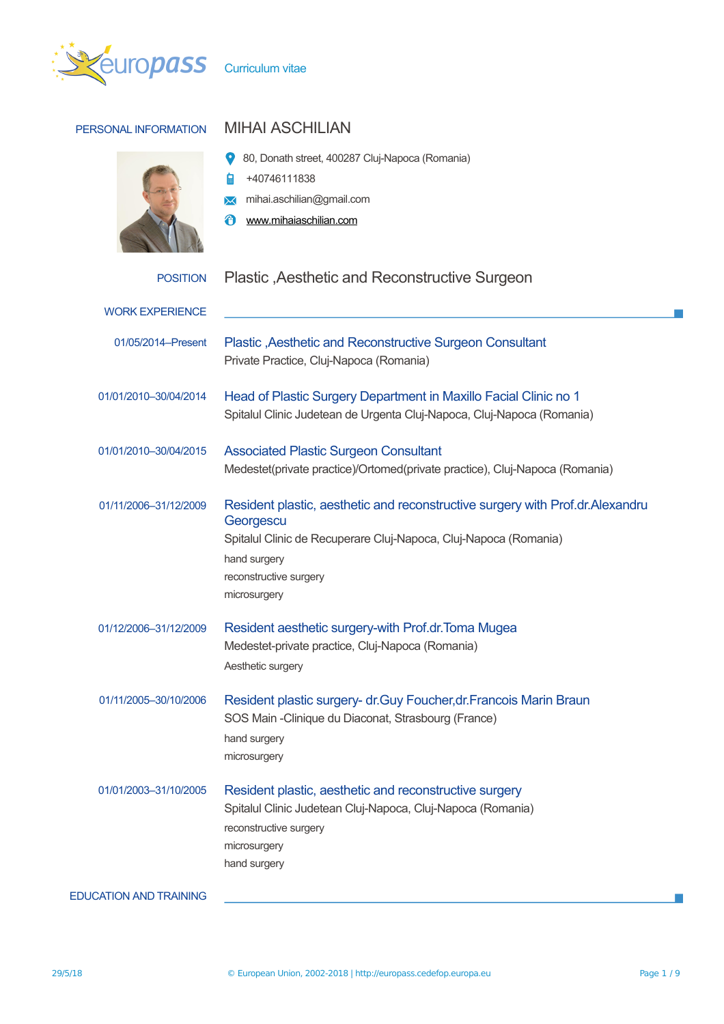

# PERSONAL INFORMATION MIHAI ASCHILIAN

- 80, Donath street, 400287 Cluj-Napoca (Romania)
- +40746111838 自
- mihai.aschilian@gmail.com
- [www.mihaiaschilian.com](http://www.mihaiaschilian.com/)

# POSITION Plastic , Aesthetic and Reconstructive Surgeon

| <b>WORK EXPERIENCE</b>        |                                                                                                                                                                                                                          |
|-------------------------------|--------------------------------------------------------------------------------------------------------------------------------------------------------------------------------------------------------------------------|
| 01/05/2014-Present            | Plastic , Aesthetic and Reconstructive Surgeon Consultant<br>Private Practice, Cluj-Napoca (Romania)                                                                                                                     |
| 01/01/2010-30/04/2014         | Head of Plastic Surgery Department in Maxillo Facial Clinic no 1<br>Spitalul Clinic Judetean de Urgenta Cluj-Napoca, Cluj-Napoca (Romania)                                                                               |
| 01/01/2010-30/04/2015         | <b>Associated Plastic Surgeon Consultant</b><br>Medestet(private practice)/Ortomed(private practice), Cluj-Napoca (Romania)                                                                                              |
| 01/11/2006-31/12/2009         | Resident plastic, aesthetic and reconstructive surgery with Prof.dr.Alexandru<br>Georgescu<br>Spitalul Clinic de Recuperare Cluj-Napoca, Cluj-Napoca (Romania)<br>hand surgery<br>reconstructive surgery<br>microsurgery |
| 01/12/2006-31/12/2009         | Resident aesthetic surgery-with Prof.dr. Toma Mugea<br>Medestet-private practice, Cluj-Napoca (Romania)<br>Aesthetic surgery                                                                                             |
| 01/11/2005-30/10/2006         | Resident plastic surgery- dr. Guy Foucher, dr. Francois Marin Braun<br>SOS Main - Clinique du Diaconat, Strasbourg (France)<br>hand surgery<br>microsurgery                                                              |
| 01/01/2003-31/10/2005         | Resident plastic, aesthetic and reconstructive surgery<br>Spitalul Clinic Judetean Cluj-Napoca, Cluj-Napoca (Romania)<br>reconstructive surgery<br>microsurgery<br>hand surgery                                          |
| <b>EDUCATION AND TRAINING</b> |                                                                                                                                                                                                                          |

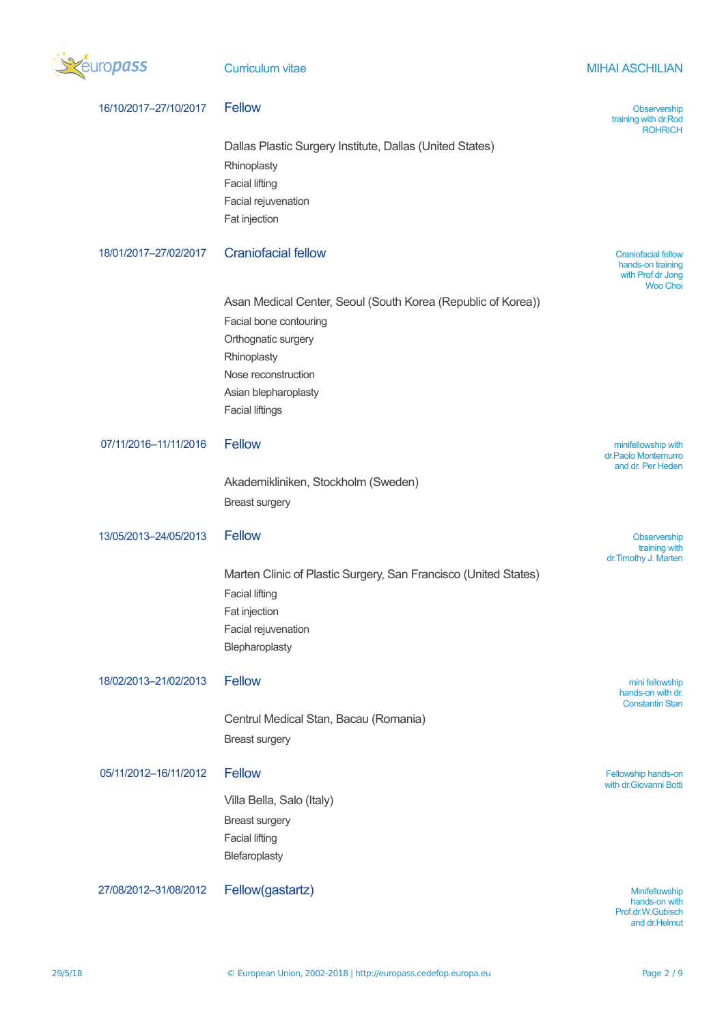

**Curriculum vitae MITAI ASCHILIAN** 

| 16/10/2017-27/10/2017 | <b>Fellow</b>                                                                                                                                                                                         | Observership<br>training with dr.Rod<br><b>ROHRICH</b>                                  |
|-----------------------|-------------------------------------------------------------------------------------------------------------------------------------------------------------------------------------------------------|-----------------------------------------------------------------------------------------|
|                       | Dallas Plastic Surgery Institute, Dallas (United States)<br>Rhinoplasty<br><b>Facial lifting</b><br>Facial rejuvenation<br>Fat injection                                                              |                                                                                         |
| 18/01/2017-27/02/2017 | <b>Craniofacial fellow</b>                                                                                                                                                                            | <b>Craniofacial fellow</b><br>hands-on training<br>with Prof.dr Jong<br><b>Woo Choi</b> |
|                       | Asan Medical Center, Seoul (South Korea (Republic of Korea))<br>Facial bone contouring<br>Orthognatic surgery<br>Rhinoplasty<br>Nose reconstruction<br>Asian blepharoplasty<br><b>Facial liftings</b> |                                                                                         |
| 07/11/2016-11/11/2016 | <b>Fellow</b>                                                                                                                                                                                         | minifellowship with<br>dr.Paolo Montemurro<br>and dr. Per Heden                         |
|                       | Akademikliniken, Stockholm (Sweden)<br><b>Breast surgery</b>                                                                                                                                          |                                                                                         |
| 13/05/2013-24/05/2013 | <b>Fellow</b>                                                                                                                                                                                         | Observership<br>training with<br>dr. Timothy J. Marten                                  |
|                       | Marten Clinic of Plastic Surgery, San Francisco (United States)<br><b>Facial lifting</b><br>Fat injection<br>Facial rejuvenation<br>Blepharoplasty                                                    |                                                                                         |
| 18/02/2013-21/02/2013 | <b>Fellow</b>                                                                                                                                                                                         | mini fellowship<br>hands-on with dr.<br><b>Constantin Stan</b>                          |
|                       | Centrul Medical Stan, Bacau (Romania)<br><b>Breast surgery</b>                                                                                                                                        |                                                                                         |
| 05/11/2012-16/11/2012 | <b>Fellow</b><br>Villa Bella, Salo (Italy)<br><b>Breast surgery</b><br><b>Facial lifting</b><br>Blefaroplasty                                                                                         | Fellowship hands-on<br>with dr. Giovanni Botti                                          |
| 27/08/2012-31/08/2012 | Fellow(gastartz)                                                                                                                                                                                      | Minifellowship<br>hands-on with<br>Prof.dr.W.Gubisch                                    |

and dr.Helmut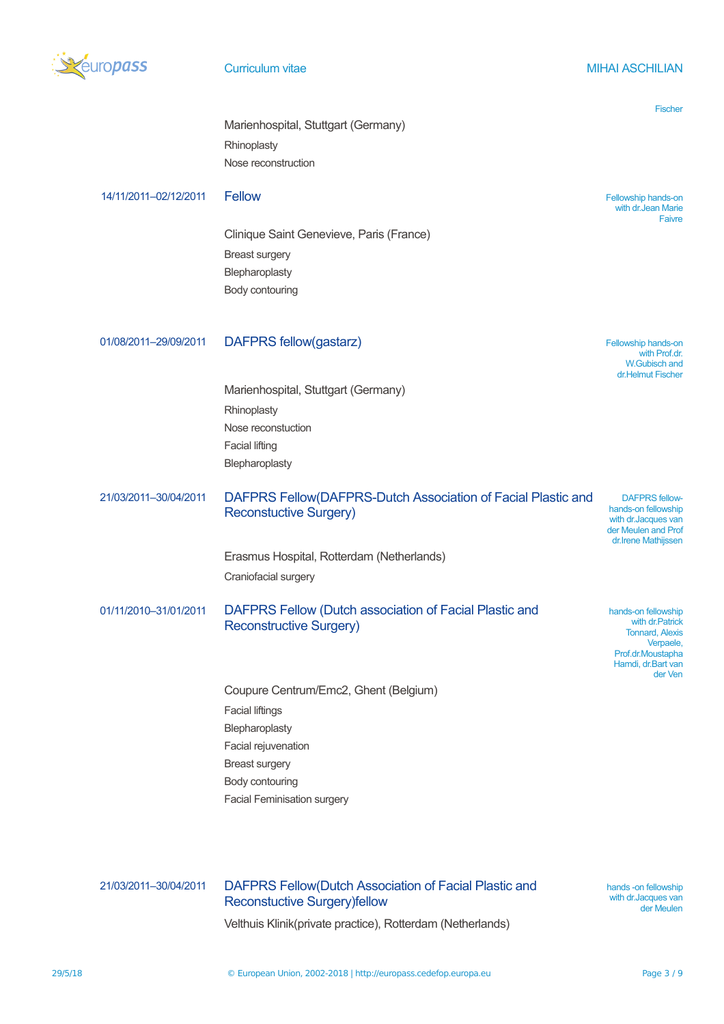

## **Curriculum vitae MIHAI ASCHILIAN**

|                       |                                                                                              | <b>Fischer</b>                                                                             |
|-----------------------|----------------------------------------------------------------------------------------------|--------------------------------------------------------------------------------------------|
|                       | Marienhospital, Stuttgart (Germany)                                                          |                                                                                            |
|                       | Rhinoplasty                                                                                  |                                                                                            |
|                       | Nose reconstruction                                                                          |                                                                                            |
| 14/11/2011-02/12/2011 | <b>Fellow</b>                                                                                | Fellowship hands-on<br>with dr. Jean Marie<br>Faivre                                       |
|                       | Clinique Saint Genevieve, Paris (France)                                                     |                                                                                            |
|                       | <b>Breast surgery</b>                                                                        |                                                                                            |
|                       | Blepharoplasty                                                                               |                                                                                            |
|                       | Body contouring                                                                              |                                                                                            |
|                       |                                                                                              |                                                                                            |
| 01/08/2011-29/09/2011 | <b>DAFPRS fellow(gastarz)</b>                                                                | Fellowship hands-on<br>with Prof.dr.<br><b>W.Gubisch and</b><br>dr.Helmut Fischer          |
|                       | Marienhospital, Stuttgart (Germany)                                                          |                                                                                            |
|                       | Rhinoplasty                                                                                  |                                                                                            |
|                       | Nose reconstuction                                                                           |                                                                                            |
|                       | <b>Facial lifting</b>                                                                        |                                                                                            |
|                       | Blepharoplasty                                                                               |                                                                                            |
| 21/03/2011-30/04/2011 | DAFPRS Fellow(DAFPRS-Dutch Association of Facial Plastic and                                 | <b>DAFPRS fellow-</b>                                                                      |
|                       | <b>Reconstuctive Surgery)</b>                                                                | hands-on fellowship<br>with dr. Jacques van<br>der Meulen and Prof<br>dr. Irene Mathijssen |
|                       | Erasmus Hospital, Rotterdam (Netherlands)                                                    |                                                                                            |
|                       | Craniofacial surgery                                                                         |                                                                                            |
| 01/11/2010-31/01/2011 | DAFPRS Fellow (Dutch association of Facial Plastic and<br><b>Reconstructive Surgery)</b>     | hands-on fellowship<br>with dr. Patrick<br><b>Tonnard, Alexis</b>                          |
|                       |                                                                                              | Verpaele,<br>Prof.dr.Moustapha<br>Hamdi, dr.Bart van<br>der Ven                            |
|                       | Coupure Centrum/Emc2, Ghent (Belgium)                                                        |                                                                                            |
|                       | <b>Facial liftings</b>                                                                       |                                                                                            |
|                       | Blepharoplasty                                                                               |                                                                                            |
|                       | Facial rejuvenation                                                                          |                                                                                            |
|                       | <b>Breast surgery</b>                                                                        |                                                                                            |
|                       | Body contouring                                                                              |                                                                                            |
|                       | <b>Facial Feminisation surgery</b>                                                           |                                                                                            |
|                       |                                                                                              |                                                                                            |
| 21/03/2011-30/04/2011 | DAFPRS Fellow(Dutch Association of Facial Plastic and<br><b>Reconstuctive Surgery)fellow</b> | hands -on fellowship<br>with dr. Jacques van<br>der Meulen                                 |

Velthuis Klinik(private practice), Rotterdam (Netherlands)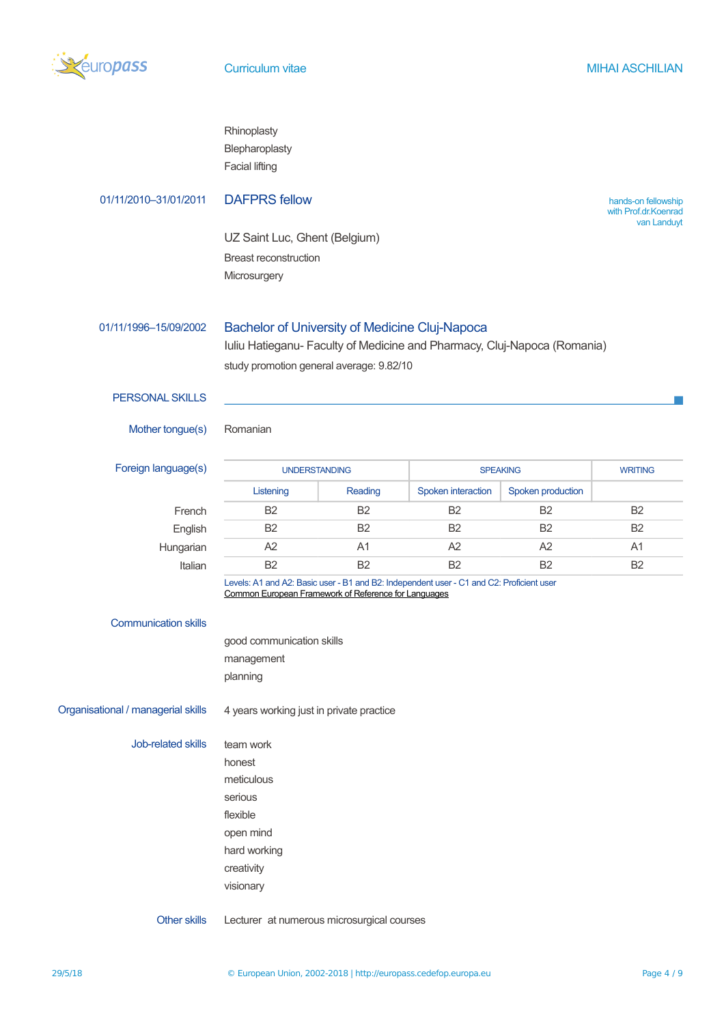

|                                    | Rhinoplasty<br>Blepharoplasty<br><b>Facial lifting</b>                                                                                           |                |                    |                   |                                             |  |
|------------------------------------|--------------------------------------------------------------------------------------------------------------------------------------------------|----------------|--------------------|-------------------|---------------------------------------------|--|
| 01/11/2010-31/01/2011              | <b>DAFPRS fellow</b>                                                                                                                             |                |                    |                   | hands-on fellowship<br>with Prof.dr.Koenrad |  |
|                                    | UZ Saint Luc, Ghent (Belgium)                                                                                                                    |                |                    |                   | van Landuyt                                 |  |
|                                    | <b>Breast reconstruction</b>                                                                                                                     |                |                    |                   |                                             |  |
|                                    | Microsurgery                                                                                                                                     |                |                    |                   |                                             |  |
| 01/11/1996-15/09/2002              | Bachelor of University of Medicine Cluj-Napoca<br>Iuliu Hatieganu- Faculty of Medicine and Pharmacy, Cluj-Napoca (Romania)                       |                |                    |                   |                                             |  |
|                                    | study promotion general average: 9.82/10                                                                                                         |                |                    |                   |                                             |  |
| <b>PERSONAL SKILLS</b>             |                                                                                                                                                  |                |                    |                   |                                             |  |
| Mother tongue(s)                   | Romanian                                                                                                                                         |                |                    |                   |                                             |  |
| Foreign language(s)                | <b>UNDERSTANDING</b><br><b>SPEAKING</b>                                                                                                          |                |                    | <b>WRITING</b>    |                                             |  |
|                                    | Listening                                                                                                                                        | Reading        | Spoken interaction | Spoken production |                                             |  |
| French                             | B <sub>2</sub>                                                                                                                                   | <b>B2</b>      | <b>B2</b>          | <b>B2</b>         | <b>B2</b>                                   |  |
| English                            | B <sub>2</sub>                                                                                                                                   | B <sub>2</sub> | <b>B2</b>          | <b>B2</b>         | B <sub>2</sub>                              |  |
| Hungarian                          | A2                                                                                                                                               | A <sub>1</sub> | A <sub>2</sub>     | A2                | A1                                          |  |
| Italian                            | <b>B2</b>                                                                                                                                        | B <sub>2</sub> | B <sub>2</sub>     | B <sub>2</sub>    | B <sub>2</sub>                              |  |
|                                    | Levels: A1 and A2: Basic user - B1 and B2: Independent user - C1 and C2: Proficient user<br>Common European Framework of Reference for Languages |                |                    |                   |                                             |  |
| <b>Communication skills</b>        |                                                                                                                                                  |                |                    |                   |                                             |  |
|                                    | good communication skills                                                                                                                        |                |                    |                   |                                             |  |
|                                    | management                                                                                                                                       |                |                    |                   |                                             |  |
|                                    | planning                                                                                                                                         |                |                    |                   |                                             |  |
| Organisational / managerial skills | 4 years working just in private practice                                                                                                         |                |                    |                   |                                             |  |
| Job-related skills                 | team work                                                                                                                                        |                |                    |                   |                                             |  |
|                                    | honest                                                                                                                                           |                |                    |                   |                                             |  |
|                                    | meticulous                                                                                                                                       |                |                    |                   |                                             |  |
|                                    | serious                                                                                                                                          |                |                    |                   |                                             |  |
|                                    | flexible                                                                                                                                         |                |                    |                   |                                             |  |
|                                    | open mind                                                                                                                                        |                |                    |                   |                                             |  |
|                                    | hard working                                                                                                                                     |                |                    |                   |                                             |  |
|                                    | creativity                                                                                                                                       |                |                    |                   |                                             |  |
|                                    | visionary                                                                                                                                        |                |                    |                   |                                             |  |

Other skills Lecturer at numerous microsurgical courses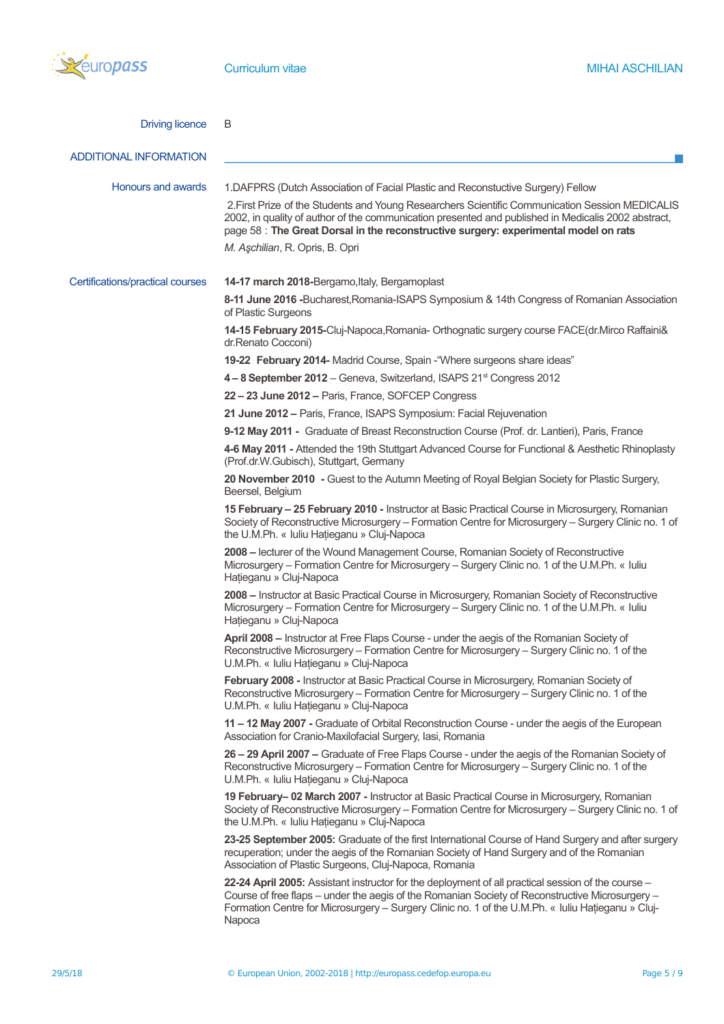

| <b>Driving licence</b>           | B                                                                                                                                                                                                                                                                                                                    |
|----------------------------------|----------------------------------------------------------------------------------------------------------------------------------------------------------------------------------------------------------------------------------------------------------------------------------------------------------------------|
| <b>ADDITIONAL INFORMATION</b>    |                                                                                                                                                                                                                                                                                                                      |
| Honours and awards               | 1.DAFPRS (Dutch Association of Facial Plastic and Reconstuctive Surgery) Fellow                                                                                                                                                                                                                                      |
|                                  | 2. First Prize of the Students and Young Researchers Scientific Communication Session MEDICALIS<br>2002, in quality of author of the communication presented and published in Medicalis 2002 abstract,<br>page 58 : The Great Dorsal in the reconstructive surgery: experimental model on rats                       |
|                                  | M. Aşchilian, R. Opris, B. Opri                                                                                                                                                                                                                                                                                      |
| Certifications/practical courses | 14-17 march 2018-Bergamo, Italy, Bergamoplast                                                                                                                                                                                                                                                                        |
|                                  | 8-11 June 2016 -Bucharest, Romania-ISAPS Symposium & 14th Congress of Romanian Association<br>of Plastic Surgeons                                                                                                                                                                                                    |
|                                  | 14-15 February 2015-Cluj-Napoca, Romania- Orthognatic surgery course FACE(dr.Mirco Raffaini&<br>dr.Renato Cocconi)                                                                                                                                                                                                   |
|                                  | 19-22 February 2014- Madrid Course, Spain - "Where surgeons share ideas"                                                                                                                                                                                                                                             |
|                                  | 4-8 September 2012 - Geneva, Switzerland, ISAPS 21 <sup>st</sup> Congress 2012                                                                                                                                                                                                                                       |
|                                  | 22 - 23 June 2012 - Paris, France, SOFCEP Congress                                                                                                                                                                                                                                                                   |
|                                  | 21 June 2012 - Paris, France, ISAPS Symposium: Facial Rejuvenation                                                                                                                                                                                                                                                   |
|                                  | 9-12 May 2011 - Graduate of Breast Reconstruction Course (Prof. dr. Lantieri), Paris, France                                                                                                                                                                                                                         |
|                                  | 4-6 May 2011 - Attended the 19th Stuttgart Advanced Course for Functional & Aesthetic Rhinoplasty<br>(Prof.dr.W.Gubisch), Stuttgart, Germany                                                                                                                                                                         |
|                                  | 20 November 2010 - Guest to the Autumn Meeting of Royal Belgian Society for Plastic Surgery,<br>Beersel, Belgium                                                                                                                                                                                                     |
|                                  | 15 February - 25 February 2010 - Instructor at Basic Practical Course in Microsurgery, Romanian<br>Society of Reconstructive Microsurgery - Formation Centre for Microsurgery - Surgery Clinic no. 1 of<br>the U.M.Ph. « Iuliu Hațieganu » Cluj-Napoca                                                               |
|                                  | 2008 – lecturer of the Wound Management Course, Romanian Society of Reconstructive<br>Microsurgery - Formation Centre for Microsurgery - Surgery Clinic no. 1 of the U.M.Ph. « Iuliu<br>Hațieganu » Cluj-Napoca                                                                                                      |
|                                  | 2008 - Instructor at Basic Practical Course in Microsurgery, Romanian Society of Reconstructive<br>Microsurgery - Formation Centre for Microsurgery - Surgery Clinic no. 1 of the U.M.Ph. « Iuliu<br>Hațieganu » Cluj-Napoca                                                                                         |
|                                  | April 2008 - Instructor at Free Flaps Course - under the aegis of the Romanian Society of<br>Reconstructive Microsurgery – Formation Centre for Microsurgery – Surgery Clinic no. 1 of the<br>U.M.Ph. « Iuliu Hațieganu » Cluj-Napoca                                                                                |
|                                  | February 2008 - Instructor at Basic Practical Course in Microsurgery, Romanian Society of<br>Reconstructive Microsurgery - Formation Centre for Microsurgery - Surgery Clinic no. 1 of the<br>U.M.Ph. « Iuliu Hațieganu » Cluj-Napoca                                                                                |
|                                  | 11 - 12 May 2007 - Graduate of Orbital Reconstruction Course - under the aegis of the European<br>Association for Cranio-Maxilofacial Surgery, Iasi, Romania                                                                                                                                                         |
|                                  | 26 - 29 April 2007 - Graduate of Free Flaps Course - under the aegis of the Romanian Society of<br>Reconstructive Microsurgery - Formation Centre for Microsurgery - Surgery Clinic no. 1 of the<br>U.M.Ph. « Iuliu Hațieganu » Cluj-Napoca                                                                          |
|                                  | 19 February- 02 March 2007 - Instructor at Basic Practical Course in Microsurgery, Romanian<br>Society of Reconstructive Microsurgery - Formation Centre for Microsurgery - Surgery Clinic no. 1 of<br>the U.M.Ph. « Iuliu Hațieganu » Cluj-Napoca                                                                   |
|                                  | 23-25 September 2005: Graduate of the first International Course of Hand Surgery and after surgery<br>recuperation; under the aegis of the Romanian Society of Hand Surgery and of the Romanian<br>Association of Plastic Surgeons, Cluj-Napoca, Romania                                                             |
|                                  | 22-24 April 2005: Assistant instructor for the deployment of all practical session of the course -<br>Course of free flaps - under the aegis of the Romanian Society of Reconstructive Microsurgery -<br>Formation Centre for Microsurgery - Surgery Clinic no. 1 of the U.M.Ph. « Iuliu Hațieganu » Cluj-<br>Napoca |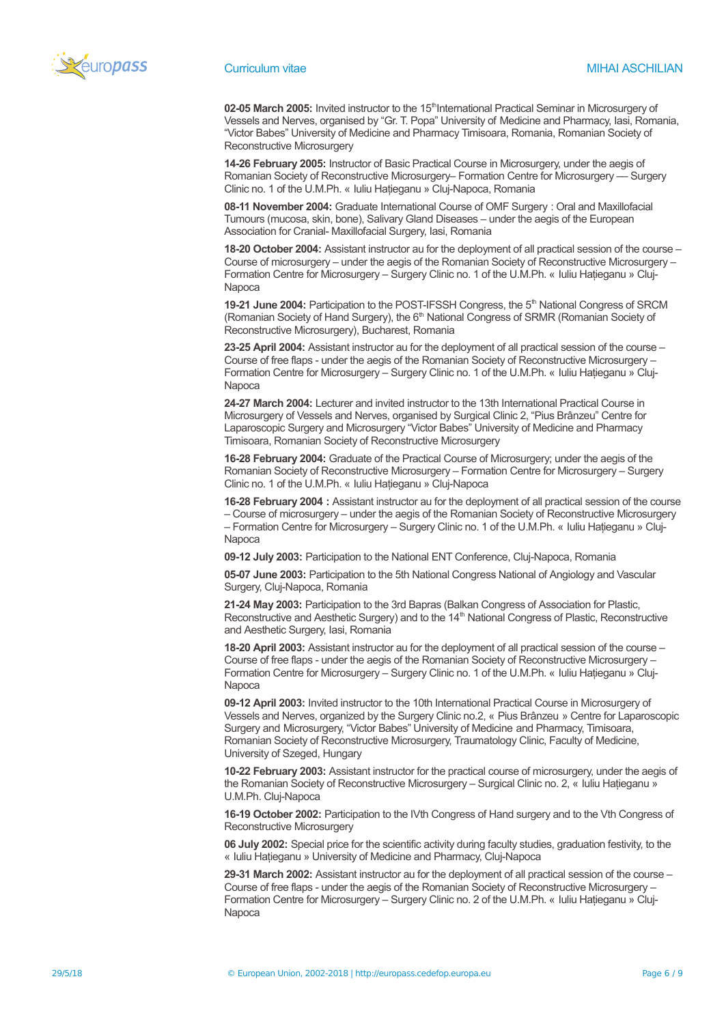

02-05 March 2005: Invited instructor to the 15<sup>th</sup>International Practical Seminar in Microsurgery of Vessels and Nerves, organised by "Gr. T. Popa" University of Medicine and Pharmacy, Iasi, Romania, "Victor Babes" University of Medicine and Pharmacy Timisoara, Romania, Romanian Society of Reconstructive Microsurgery

**14-26 February 2005:** Instructor of Basic Practical Course in Microsurgery, under the aegis of Romanian Society of Reconstructive Microsurgery– Formation Centre for Microsurgery – Surgery Clinic no. 1 of the U.M.Ph. « Iuliu Hatieganu » Clui-Napoca, Romania

**08-11 November 2004:** Graduate International Course of OMF Surgery : Oral and Maxillofacial Tumours (mucosa, skin, bone), Salivary Gland Diseases – under the aegis of the European Association for Cranial- Maxillofacial Surgery, Iasi, Romania

**18-20 October 2004:** Assistant instructor au for the deployment of all practical session of the course – Course of microsurgery – under the aegis of the Romanian Society of Reconstructive Microsurgery – Formation Centre for Microsurgery – Surgery Clinic no. 1 of the U.M.Ph. « Iuliu Hatieganu » Cluj-Napoca

**19-21 June 2004: Participation to the POST-IFSSH Congress, the 5<sup>th</sup> National Congress of SRCM** (Romanian Society of Hand Surgery), the 6<sup>th</sup> National Congress of SRMR (Romanian Society of Reconstructive Microsurgery), Bucharest, Romania

**23-25 April 2004:** Assistant instructor au for the deployment of all practical session of the course – Course of free flaps - under the aegis of the Romanian Society of Reconstructive Microsurgery – Formation Centre for Microsurgery – Surgery Clinic no. 1 of the U.M.Ph. « Iuliu Hatieganu » Clui-Napoca

**24-27 March 2004:** Lecturer and invited instructor to the 13th International Practical Course in Microsurgery of Vessels and Nerves, organised by Surgical Clinic 2, "Pius Brânzeu" Centre for Laparoscopic Surgery and Microsurgery "Victor Babes" University of Medicine and Pharmacy Timisoara, Romanian Society of Reconstructive Microsurgery

**16-28 February 2004:** Graduate of the Practical Course of Microsurgery; under the aegis of the Romanian Society of Reconstructive Microsurgery – Formation Centre for Microsurgery – Surgery Clinic no. 1 of the U.M.Ph. « Iuliu Haţieganu » Cluj-Napoca

**16-28 February 2004 :** Assistant instructor au for the deployment of all practical session of the course – Course of microsurgery – under the aegis of the Romanian Society of Reconstructive Microsurgery – Formation Centre for Microsurgery – Surgery Clinic no. 1 of the U.M.Ph. « Iuliu Hatieganu » Cluj-Napoca

**09-12 July 2003:** Participation to the National ENT Conference, Cluj-Napoca, Romania

**05-07 June 2003:** Participation to the 5th National Congress National of Angiology and Vascular Surgery, Cluj-Napoca, Romania

**21-24 May 2003:** Participation to the 3rd Bapras (Balkan Congress of Association for Plastic, Reconstructive and Aesthetic Surgery) and to the 14<sup>th</sup> National Congress of Plastic, Reconstructive and Aesthetic Surgery, Iasi, Romania

**18-20 April 2003:** Assistant instructor au for the deployment of all practical session of the course – Course of free flaps - under the aegis of the Romanian Society of Reconstructive Microsurgery – Formation Centre for Microsurgery – Surgery Clinic no. 1 of the U.M.Ph. « Iuliu Hatieganu » Cluj-Napoca

**09-12 April 2003:** Invited instructor to the 10th International Practical Course in Microsurgery of Vessels and Nerves, organized by the Surgery Clinic no.2, « Pius Brânzeu » Centre for Laparoscopic Surgery and Microsurgery, "Victor Babes" University of Medicine and Pharmacy, Timisoara, Romanian Society of Reconstructive Microsurgery, Traumatology Clinic, Faculty of Medicine, University of Szeged, Hungary

**10-22 February 2003:** Assistant instructor for the practical course of microsurgery, under the aegis of the Romanian Society of Reconstructive Microsurgery – Surgical Clinic no. 2, « Iuliu Hatieganu » U.M.Ph. Cluj-Napoca

**16-19 October 2002:** Participation to the IVth Congress of Hand surgery and to the Vth Congress of Reconstructive Microsurgery

**06 July 2002:** Special price for the scientific activity during faculty studies, graduation festivity, to the « Iuliu Hatieganu » University of Medicine and Pharmacy, Cluj-Napoca

**29-31 March 2002:** Assistant instructor au for the deployment of all practical session of the course – Course of free flaps - under the aegis of the Romanian Society of Reconstructive Microsurgery – Formation Centre for Microsurgery – Surgery Clinic no. 2 of the U.M.Ph. « Iuliu Hatieganu » Clui-Napoca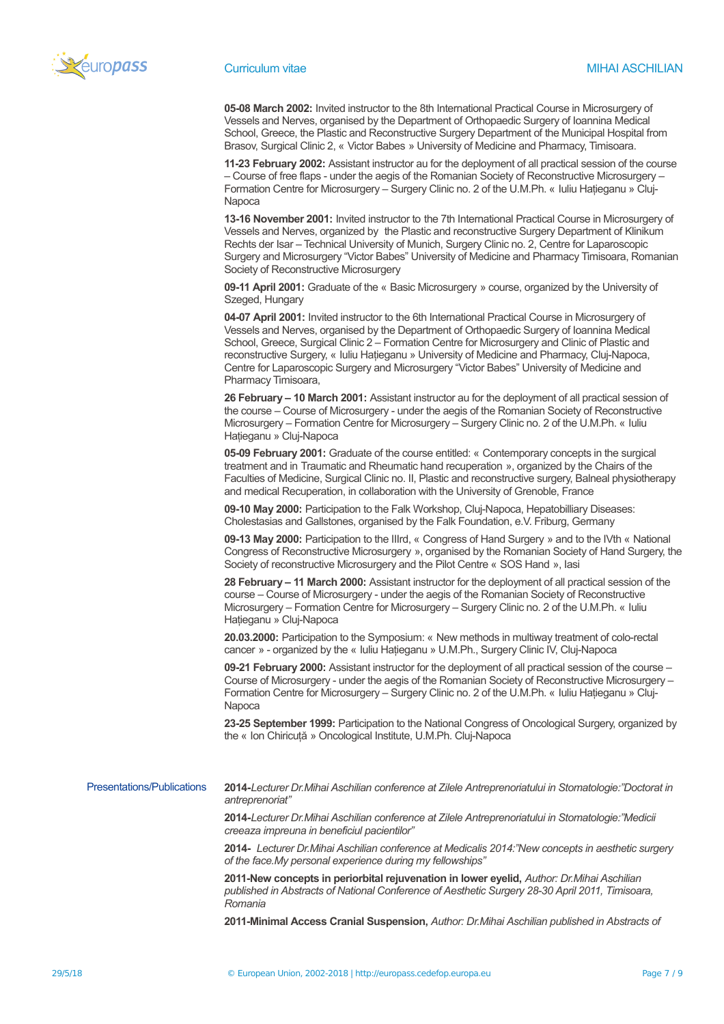

**05-08 March 2002:** Invited instructor to the 8th International Practical Course in Microsurgery of Vessels and Nerves, organised by the Department of Orthopaedic Surgery of Ioannina Medical School, Greece, the Plastic and Reconstructive Surgery Department of the Municipal Hospital from Brasov, Surgical Clinic 2, « Victor Babes » University of Medicine and Pharmacy, Timisoara.

**11-23 February 2002:** Assistant instructor au for the deployment of all practical session of the course – Course of free flaps - under the aegis of the Romanian Society of Reconstructive Microsurgery – Formation Centre for Microsurgery – Surgery Clinic no. 2 of the U.M.Ph. « Iuliu Haţieganu » Cluj-Napoca

**13-16 November 2001:** Invited instructor to the 7th International Practical Course in Microsurgery of Vessels and Nerves, organized by the Plastic and reconstructive Surgery Department of Klinikum Rechts der Isar – Technical University of Munich, Surgery Clinic no. 2, Centre for Laparoscopic Surgery and Microsurgery "Victor Babes" University of Medicine and Pharmacy Timisoara, Romanian Society of Reconstructive Microsurgery

**09-11 April 2001:** Graduate of the « Basic Microsurgery » course, organized by the University of Szeged, Hungary

**04-07 April 2001:** Invited instructor to the 6th International Practical Course in Microsurgery of Vessels and Nerves, organised by the Department of Orthopaedic Surgery of Ioannina Medical School, Greece, Surgical Clinic 2 – Formation Centre for Microsurgery and Clinic of Plastic and reconstructive Surgery, « Iuliu Hatieganu » University of Medicine and Pharmacy, Cluj-Napoca, Centre for Laparoscopic Surgery and Microsurgery "Victor Babes" University of Medicine and Pharmacy Timisoara,

**26 February – 10 March 2001:** Assistant instructor au for the deployment of all practical session of the course – Course of Microsurgery - under the aegis of the Romanian Society of Reconstructive Microsurgery – Formation Centre for Microsurgery – Surgery Clinic no. 2 of the U.M.Ph. « Iuliu Hatieganu » Cluj-Napoca

**05-09 February 2001:** Graduate of the course entitled: « Contemporary concepts in the surgical treatment and in Traumatic and Rheumatic hand recuperation », organized by the Chairs of the Faculties of Medicine, Surgical Clinic no. II, Plastic and reconstructive surgery, Balneal physiotherapy and medical Recuperation, in collaboration with the University of Grenoble, France

**09-10 May 2000:** Participation to the Falk Workshop, Cluj-Napoca, Hepatobilliary Diseases: Cholestasias and Gallstones, organised by the Falk Foundation, e.V. Friburg, Germany

**09-13 May 2000:** Participation to the IIIrd, « Congress of Hand Surgery » and to the IVth « National Congress of Reconstructive Microsurgery », organised by the Romanian Society of Hand Surgery, the Society of reconstructive Microsurgery and the Pilot Centre « SOS Hand », Iasi

**28 February – 11 March 2000:** Assistant instructor for the deployment of all practical session of the course – Course of Microsurgery - under the aegis of the Romanian Society of Reconstructive Microsurgery – Formation Centre for Microsurgery – Surgery Clinic no. 2 of the U.M.Ph. « Iuliu Hatieganu » Cluj-Napoca

**20.03.2000:** Participation to the Symposium: « New methods in multiway treatment of colo-rectal cancer » - organized by the « Iuliu Hatieganu » U.M.Ph., Surgery Clinic IV, Cluj-Napoca

**09-21 February 2000:** Assistant instructor for the deployment of all practical session of the course – Course of Microsurgery - under the aegis of the Romanian Society of Reconstructive Microsurgery – Formation Centre for Microsurgery – Surgery Clinic no. 2 of the U.M.Ph. « Iuliu Hatieganu » Cluj-Napoca

**23-25 September 1999:** Participation to the National Congress of Oncological Surgery, organized by the « Ion Chiricuţă » Oncological Institute, U.M.Ph. Cluj-Napoca

Presentations/Publications **2014-***Lecturer Dr.Mihai Aschilian conference at Zilele Antreprenoriatului in Stomatologie:"Doctorat in antreprenoriat"*

> **2014-***Lecturer Dr.Mihai Aschilian conference at Zilele Antreprenoriatului in Stomatologie:"Medicii creeaza impreuna in beneficiul pacientilor"*

**2014-** *Lecturer Dr.Mihai Aschilian conference at Medicalis 2014:"New concepts in aesthetic surgery of the face.My personal experience during my fellowships"*

**2011-New concepts in periorbital rejuvenation in lower eyelid,** *Author: Dr.Mihai Aschilian published in Abstracts of National Conference of Aesthetic Surgery 28-30 April 2011, Timisoara, Romania*

**2011-Minimal Access Cranial Suspension,** *Author: Dr.Mihai Aschilian published in Abstracts of*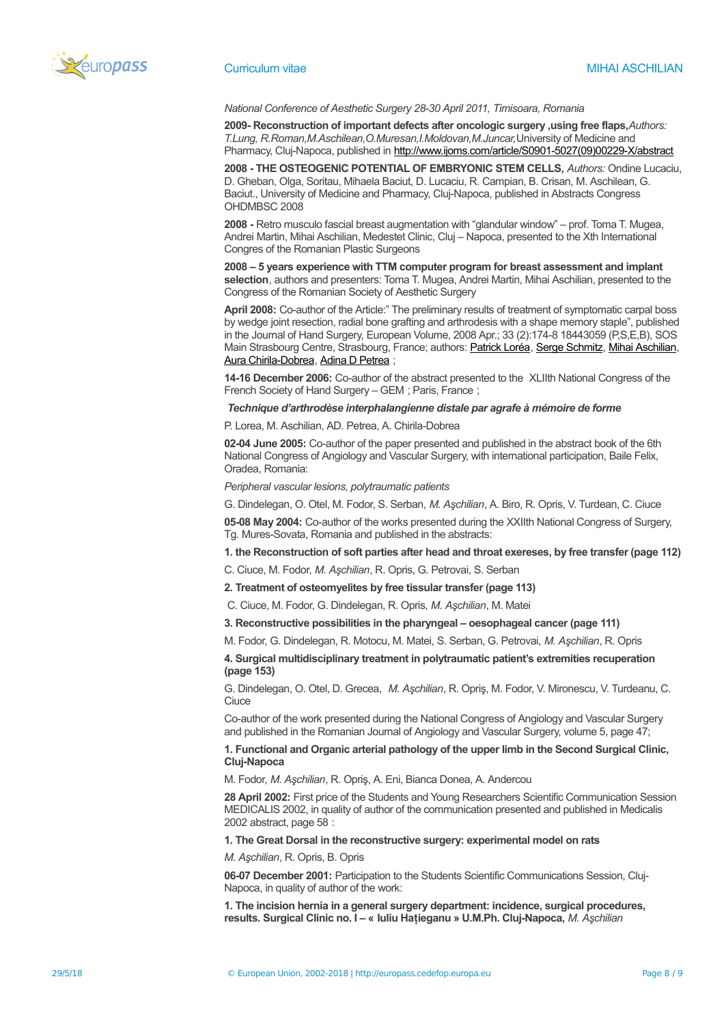

### *National Conference of Aesthetic Surgery 28-30 April 2011, Timisoara, Romania*

**2009- Reconstruction of important defects after oncologic surgery ,using free flaps,***Authors: T.Lung, R.Roman,M.Aschilean,O.Muresan,I.Moldovan,M.Juncar,*University of Medicine and Pharmacy, Cluj-Napoca, published in [http://www.ijoms.com/article/S0901-5027\(09\)00229-X/abstract](http://www.ijoms.com/article/S0901-5027(09)00229-X/abstract)

**2008 - THE OSTEOGENIC POTENTIAL OF EMBRYONIC STEM CELLS,** *Authors:* Ondine Lucaciu, D. Gheban, Olga, Soritau, Mihaela Baciut, D. Lucaciu, R. Campian, B. Crisan, M. Aschilean, G. Baciut., University of Medicine and Pharmacy, Cluj-Napoca, published in Abstracts Congress OHDMBSC 2008

**2008 -** Retro musculo fascial breast augmentation with "glandular window" – prof. Toma T. Mugea, Andrei Martin, Mihai Aschilian, Medestet Clinic, Cluj – Napoca, presented to the Xth International Congres of the Romanian Plastic Surgeons

**2008 – 5 years experience with TTM computer program for breast assessment and implant selection**, authors and presenters: Toma T. Mugea, Andrei Martin, Mihai Aschilian, presented to the Congress of the Romanian Society of Aesthetic Surgery

**April 2008:** Co-author of the Article:" The preliminary results of treatment of symptomatic carpal boss by wedge joint resection, radial bone grafting and arthrodesis with a shape memory staple", published in the Journal of Hand Surgery, European Volume, 2008 Apr.; 33 (2):174-8 18443059 (P,S,E,B), SOS Main Strasbourg Centre, Strasbourg, France; authors: [Patrick Loréa,](http://lib.bioinfo.pl/auth:Lor%C3%A9a,P) [Serge Schmitz,](http://lib.bioinfo.pl/auth:Schmitz,S) [Mihai Aschilian,](http://lib.bioinfo.pl/auth:Aschilian,M) [Aura Chirila-Dobrea,](http://lib.bioinfo.pl/auth:Chirila-Dobrea,A) [Adina D Petrea](http://lib.bioinfo.pl/auth:Petrea,AD) ;

**14-16 December 2006:** Co-author of the abstract presented to the XLIIth National Congress of the French Society of Hand Surgery – GEM ; Paris, France ;

### *Technique d'arthrodèse interphalangienne distale par agrafe à mémoire de forme*

P. Lorea, M. Aschilian, AD. Petrea, A. Chirila-Dobrea

**02-04 June 2005:** Co-author of the paper presented and published in the abstract book of the 6th National Congress of Angiology and Vascular Surgery, with international participation, Baile Felix, Oradea, Romania:

*Peripheral vascular lesions, polytraumatic patients*

G. Dindelegan, O. Otel, M. Fodor, S. Serban, *M. Aşchilian*, A. Biro, R. Opris, V. Turdean, C. Ciuce

**05-08 May 2004:** Co-author of the works presented during the XXIIth National Congress of Surgery, Tg. Mures-Sovata, Romania and published in the abstracts:

**1. the Reconstruction of soft parties after head and throat exereses, by free transfer (page 112)**

C. Ciuce, M. Fodor, *M. Aşchilian*, R. Opris, G. Petrovai, S. Serban

**2. Treatment of osteomyelites by free tissular transfer (page 113)**

C. Ciuce, M. Fodor, G. Dindelegan, R. Opris, *M. Aşchilian*, M. Matei

**3. Reconstructive possibilities in the pharyngeal – oesophageal cancer (page 111)**

M. Fodor, G. Dindelegan, R. Motocu, M. Matei, S. Serban, G. Petrovai, *M. Aşchilian*, R. Opris

**4. Surgical multidisciplinary treatment in polytraumatic patient's extremities recuperation (page 153)**

G. Dindelegan, O. Otel, D. Grecea, *M. Aşchilian*, R. Opriş, M. Fodor, V. Mironescu, V. Turdeanu, C. Ciuce

Co-author of the work presented during the National Congress of Angiology and Vascular Surgery and published in the Romanian Journal of Angiology and Vascular Surgery, volume 5, page 47;

**1. Functional and Organic arterial pathology of the upper limb in the Second Surgical Clinic, Cluj-Napoca**

M. Fodor, *M. Aşchilian*, R. Opriş, A. Eni, Bianca Donea, A. Andercou

**28 April 2002:** First price of the Students and Young Researchers Scientific Communication Session MEDICALIS 2002, in quality of author of the communication presented and published in Medicalis 2002 abstract, page 58 :

**1. The Great Dorsal in the reconstructive surgery: experimental model on rats**

*M. Aşchilian*, R. Opris, B. Opris

**06-07 December 2001:** Participation to the Students Scientific Communications Session, Cluj-Napoca, in quality of author of the work:

**1. The incision hernia in a general surgery department: incidence, surgical procedures, results. Surgical Clinic no. I – « Iuliu Haţieganu » U.M.Ph. Cluj-Napoca,** *M. Aşchilian*